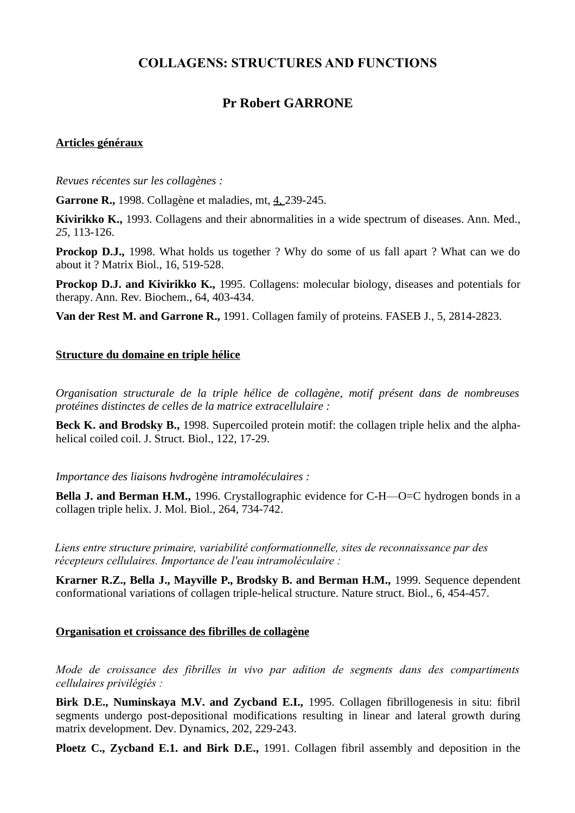# **COLLAGENS: STRUCTURES AND FUNCTIONS**

# **Pr Robert GARRONE**

#### **Articles généraux**

*Revues récentes sur les collagènes :*

**Garrone R.,** 1998. Collagène et maladies, mt, 4, 239-245.

**Kivirikko K.,** 1993. Collagens and their abnormalities in a wide spectrum of diseases. Ann. Med., *25,* 113-126.

**Prockop D.J.,** 1998. What holds us together ? Why do some of us fall apart ? What can we do about it ? Matrix Biol., 16, 519-528.

**Prockop D.J. and Kivirikko K.,** 1995. Collagens: molecular biology, diseases and potentials for therapy. Ann. Rev. Biochem., 64, 403-434.

**Van der Rest M. and Garrone R.,** 1991. Collagen family of proteins. FASEB J., 5, 2814-2823.

#### **Structure du domaine en triple hélice**

*Organisation structurale de la triple hélice de collagène, motif présent dans de nombreuses protéines distinctes de celles de la matrice extracellulaire :*

**Beck K. and Brodsky B.,** 1998. Supercoiled protein motif: the collagen triple helix and the alphahelical coiled coil. J. Struct. Biol., 122, 17-29.

*Importance des liaisons hvdrogène intramoléculaires :*

**Bella J. and Berman H.M.,** 1996. Crystallographic evidence for C-H—O=C hydrogen bonds in a collagen triple helix. J. Mol. Biol., 264, 734-742.

*Liens entre structure primaire, variabilité conformationnelle, sites de reconnaissance par des récepteurs cellulaires. Importance de l'eau intramoléculaire :*

**Krarner R.Z., Bella J., Mayville P., Brodsky B. and Berman H.M.,** 1999. Sequence dependent conformational variations of collagen triple-helical structure. Nature struct. Biol., 6, 454-457.

#### **Organisation et croissance des fibrilles de collagène**

*Mode de croissance des fibrilles in vivo par adition de segments dans des compartiments cellulaires privilégiés :*

**Birk D.E., Numinskaya M.V. and Zycband E.I.,** 1995. Collagen fibrillogenesis in situ: fibril segments undergo post-depositional modifications resulting in linear and lateral growth during matrix development. Dev. Dynamics, 202, 229-243.

**Ploetz C., Zycband E.1. and Birk D.E.,** 1991. Collagen fibril assembly and deposition in the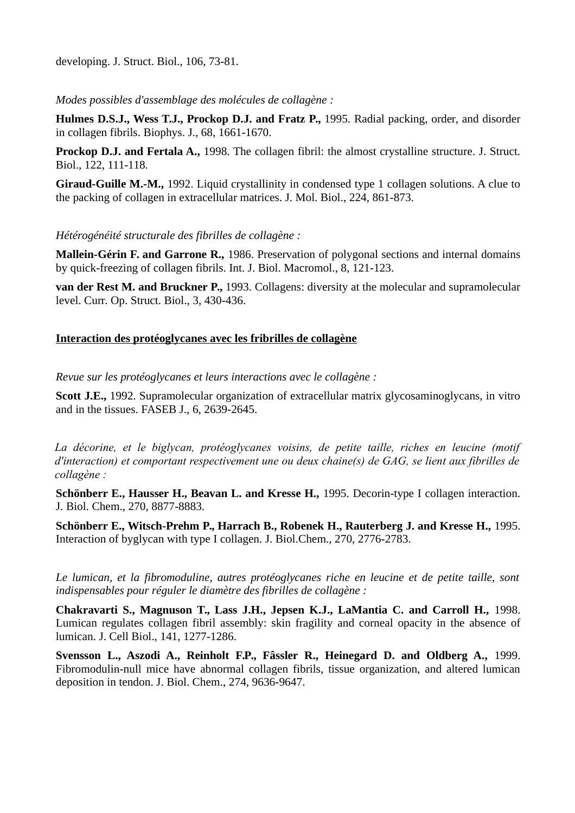developing. J. Struct. Biol., 106, 73-81.

*Modes possibles d'assemblage des molécules de collagène :*

**Hulmes D.S.J., Wess T.J., Prockop D.J. and Fratz P.,** 1995. Radial packing, order, and disorder in collagen fibrils. Biophys. J., 68, 1661-1670.

**Prockop D.J. and Fertala A.,** 1998. The collagen fibril: the almost crystalline structure. J. Struct. Biol., 122, 111-118.

**Giraud-Guille M.-M.,** 1992. Liquid crystallinity in condensed type 1 collagen solutions. A clue to the packing of collagen in extracellular matrices. J. Mol. Biol., 224, 861-873.

#### *Hétérogénéité structurale des fibrilles de collagène :*

**Mallein-Gérin F. and Garrone R.,** 1986. Preservation of polygonal sections and internal domains by quick-freezing of collagen fibrils. Int. J. Biol. Macromol., 8, 121-123.

**van der Rest M. and Bruckner P.,** 1993. Collagens: diversity at the molecular and supramolecular level. Curr. Op. Struct. Biol., 3, 430-436.

#### **Interaction des protéoglycanes avec les fribrilles de collagène**

*Revue sur les protéoglycanes et leurs interactions avec le collagène :*

**Scott J.E.,** 1992. Supramolecular organization of extracellular matrix glycosaminoglycans, in vitro and in the tissues. FASEB J., 6, 2639-2645.

*La décorine, et le biglycan, protéoglycanes voisins, de petite taille, riches en leucine (motif d'interaction) et comportant respectivement une ou deux chaine(s) de GAG, se lient aux fibrilles de collagène :*

**Schönberr E., Hausser H., Beavan L. and Kresse H.,** 1995. Decorin-type I collagen interaction. J. Biol. Chem., 270, 8877-8883.

**Schönberr E., Witsch-Prehm P., Harrach B., Robenek H., Rauterberg J. and Kresse H.,** 1995. Interaction of byglycan with type I collagen. J. Biol.Chem., 270, 2776-2783.

*Le lumican, et la fibromoduline, autres protéoglycanes riche en leucine et de petite taille, sont indispensables pour réguler le diamètre des fibrilles de collagène :*

**Chakravarti S., Magnuson T., Lass J.H., Jepsen K.J., LaMantia C. and Carroll H.,** 1998. Lumican regulates collagen fibril assembly: skin fragility and corneal opacity in the absence of lumican. J. Cell Biol., 141, 1277-1286.

**Svensson L., Aszodi A., Reinholt F.P., Fâssler R., Heinegard D. and Oldberg A.,** 1999. Fibromodulin-null mice have abnormal collagen fibrils, tissue organization, and altered lumican deposition in tendon. J. Biol. Chem., 274, 9636-9647.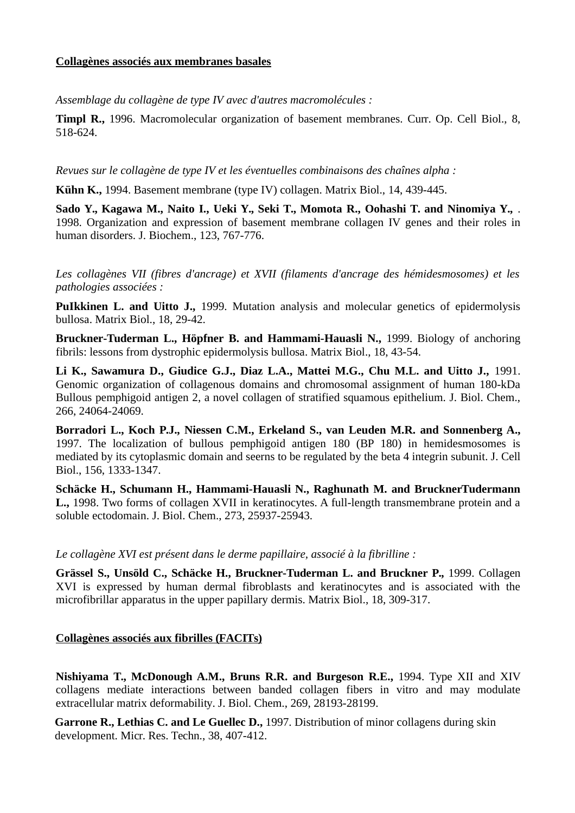#### **Collagènes associés aux membranes basales**

*Assemblage du collagène de type IV avec d'autres macromolécules :*

**Timpl R.,** 1996. Macromolecular organization of basement membranes. Curr. Op. Cell Biol., 8, 518-624.

*Revues sur le collagène de type IV et les éventuelles combinaisons des chaînes alpha :*

**Kühn K.,** 1994. Basement membrane (type IV) collagen. Matrix Biol., 14, 439-445.

**Sado Y., Kagawa M., Naito I., Ueki Y., Seki T., Momota R., Oohashi T. and Ninomiya Y.,** . 1998. Organization and expression of basement membrane collagen IV genes and their roles in human disorders. J. Biochem., 123, 767-776.

*Les collagènes VII (fibres d'ancrage) et XVII (filaments d'ancrage des hémidesmosomes) et les pathologies associées :*

**PuIkkinen L. and Uitto J.,** 1999. Mutation analysis and molecular genetics of epidermolysis bullosa. Matrix Biol., 18, 29-42.

**Bruckner-Tuderman L., Höpfner B. and Hammami-Hauasli N.,** 1999. Biology of anchoring fibrils: lessons from dystrophic epidermolysis bullosa. Matrix Biol., 18, 43-54.

**Li K., Sawamura D., Giudice G.J., Diaz L.A., Mattei M.G., Chu M.L. and Uitto J.,** 1991. Genomic organization of collagenous domains and chromosomal assignment of human 180-kDa Bullous pemphigoid antigen 2, a novel collagen of stratified squamous epithelium. J. Biol. Chem., 266, 24064-24069.

**Borradori L., Koch P.J., Niessen C.M., Erkeland S., van Leuden M.R. and Sonnenberg A.,** 1997. The localization of bullous pemphigoid antigen 180 (BP 180) in hemidesmosomes is mediated by its cytoplasmic domain and seerns to be regulated by the beta 4 integrin subunit. J. Cell Biol., 156, 1333-1347.

**Schäcke H., Schumann H., Hammami-Hauasli N., Raghunath M. and BrucknerTudermann L.,** 1998. Two forms of collagen XVII in keratinocytes. A full-length transmembrane protein and a soluble ectodomain. J. Biol. Chem., 273, 25937-25943.

*Le collagène XVI est présent dans le derme papillaire, associé à la fibrilline :*

**Grässel S., Unsöld C., Schäcke H., Bruckner-Tuderman L. and Bruckner P.,** 1999. Collagen XVI is expressed by human dermal fibroblasts and keratinocytes and is associated with the microfibrillar apparatus in the upper papillary dermis. Matrix Biol., 18, 309-317.

### **Collagènes associés aux fibrilles (FACITs)**

**Nishiyama T., McDonough A.M., Bruns R.R. and Burgeson R.E.,** 1994. Type XII and XIV collagens mediate interactions between banded collagen fibers in vitro and may modulate extracellular matrix deformability. J. Biol. Chem., 269, 28193-28199.

Garrone R., Lethias C. and Le Guellec D., 1997. Distribution of minor collagens during skin development. Micr. Res. Techn., 38, 407-412.